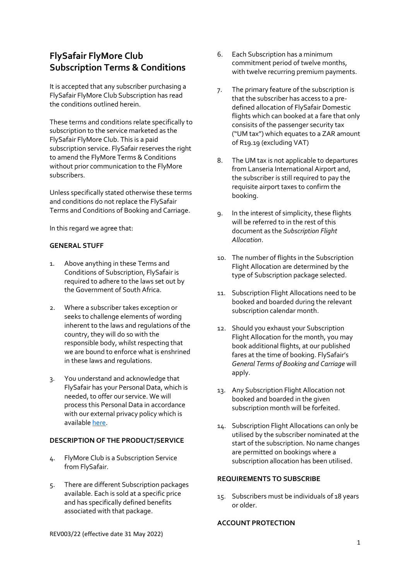# **FlySafair FlyMore Club Subscription Terms & Conditions**

It is accepted that any subscriber purchasing a FlySafair FlyMore Club Subscription has read the conditions outlined herein.

These terms and conditions relate specifically to subscription to the service marketed as the FlySafair FlyMore Club. This is a paid subscription service. FlySafair reserves the right to amend the FlyMore Terms & Conditions without prior communication to the FlyMore subscribers.

Unless specifically stated otherwise these terms and conditions do not replace the FlySafair Terms and Conditions of Booking and Carriage.

In this regard we agree that:

#### **GENERAL STUFF**

- 1. Above anything in these Terms and Conditions of Subscription, FlySafair is required to adhere to the laws set out by the Government of South Africa.
- 2. Where a subscriber takes exception or seeks to challenge elements of wording inherent to the laws and regulations of the country, they will do so with the responsible body, whilst respecting that we are bound to enforce what is enshrined in these laws and regulations.
- 3. You understand and acknowledge that FlySafair has your Personal Data, which is needed, to offer our service. We will process this Personal Data in accordance with our external privacy policy which is available [here.](https://www.flysafair.co.za/about-us/legal-ts-cs/privacy-policy)

#### **DESCRIPTION OF THE PRODUCT/SERVICE**

- 4. FlyMore Club is a Subscription Service from FlySafair.
- 5. There are different Subscription packages available. Each is sold at a specific price and has specifically defined benefits associated with that package.
- 6. Each Subscription has a minimum commitment period of twelve months, with twelve recurring premium payments.
- 7. The primary feature of the subscription is that the subscriber has access to a predefined allocation of FlySafair Domestic flights which can booked at a fare that only consisits of the passenger security tax ("UM tax") which equates to a ZAR amount of R19.19 (excluding VAT)
- 8. The UM tax is not applicable to departures from Lanseria International Airport and, the subscriber is still required to pay the requisite airport taxes to confirm the booking.
- 9. In the interest of simplicity, these flights will be referred to in the rest of this document as the *Subscription Flight Allocation*.
- 10. The number of flights in the Subscription Flight Allocation are determined by the type of Subscription package selected.
- 11. Subscription Flight Allocations need to be booked and boarded during the relevant subscription calendar month.
- 12. Should you exhaust your Subscription Flight Allocation for the month, you may book additional flights, at our published fares at the time of booking. FlySafair's *General Terms of Booking and Carriage* will apply.
- 13. Any Subscription Flight Allocation not booked and boarded in the given subscription month will be forfeited.
- 14. Subscription Flight Allocations can only be utilised by the subscriber nominated at the start of the subscription. No name changes are permitted on bookings where a subscription allocation has been utilised.

#### **REQUIREMENTS TO SUBSCRIBE**

15. Subscribers must be individuals of 18 years or older.

## **ACCOUNT PROTECTION**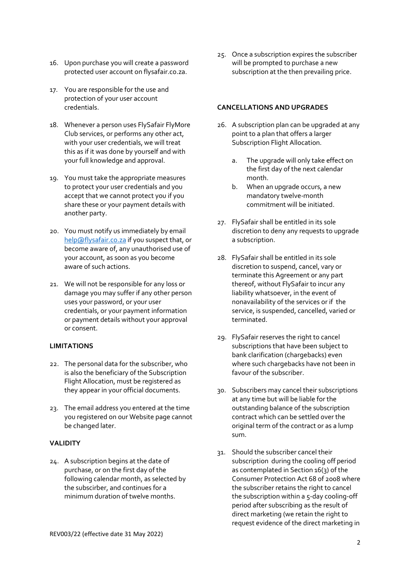- 16. Upon purchase you will create a password protected user account on flysafair.co.za.
- 17. You are responsible for the use and protection of your user account credentials.
- 18. Whenever a person uses FlySafair FlyMore Club services, or performs any other act, with your user credentials, we will treat this as if it was done by yourself and with your full knowledge and approval.
- 19. You must take the appropriate measures to protect your user credentials and you accept that we cannot protect you if you share these or your payment details with another party.
- 20. You must notify us immediately by email [help@flysafair.co.za](mailto:help@flysafair.co.za) if you suspect that, or become aware of, any unauthorised use of your account, as soon as you become aware of such actions.
- 21. We will not be responsible for any loss or damage you may suffer if any other person uses your password, or your user credentials, or your payment information or payment details without your approval or consent.

# **LIMITATIONS**

- 22. The personal data for the subscriber, who is also the beneficiary of the Subscription Flight Allocation, must be registered as they appear in your official documents.
- 23. The email address you entered at the time you registered on our Website page cannot be changed later.

# **VALIDITY**

24. A subscription begins at the date of purchase, or on the first day of the following calendar month, as selected by the subscirber, and continues for a minimum duration of twelve months.

25. Once a subscription expires the subscriber will be prompted to purchase a new subscription at the then prevailing price.

## **CANCELLATIONS AND UPGRADES**

- 26. A subscription plan can be upgraded at any point to a plan that offers a larger Subscription Flight Allocation.
	- a. The upgrade will only take effect on the first day of the next calendar month.
	- b. When an upgrade occurs, a new mandatory twelve-month commitment will be initiated.
- 27. FlySafair shall be entitled in its sole discretion to deny any requests to upgrade a subscription.
- 28. FlySafair shall be entitled in its sole discretion to suspend, cancel, vary or terminate this Agreement or any part thereof, without FlySafair to incur any liability whatsoever, in the event of nonavailability of the services or if the service, is suspended, cancelled, varied or terminated.
- 29. FlySafair reserves the right to cancel subscriptions that have been subject to bank clarification (chargebacks) even where such chargebacks have not been in favour of the subscriber.
- 30. Subscribers may cancel their subscriptions at any time but will be liable for the outstanding balance of the subscription contract which can be settled over the original term of the contract or as a lump sum.
- 31. Should the subscriber cancel their subscription during the cooling off period as contemplated in Section 16(3) of the Consumer Protection Act 68 of 2008 where the subscriber retains the right to cancel the subscription within a 5-day cooling-off period after subscribing as the result of direct marketing (we retain the right to request evidence of the direct marketing in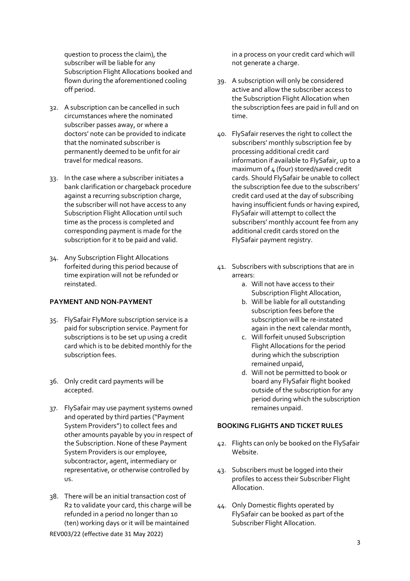question to process the claim), the subscriber will be liable for any Subscription Flight Allocations booked and flown during the aforementioned cooling off period.

- 32. A subscription can be cancelled in such circumstances where the nominated subscriber passes away, or where a doctors' note can be provided to indicate that the nominated subscriber is permanently deemed to be unfit for air travel for medical reasons.
- 33. In the case where a subscriber initiates a bank clarification or chargeback procedure against a recurring subscription charge, the subscriber will not have access to any Subscription Flight Allocation until such time as the process is completed and corresponding payment is made for the subscription for it to be paid and valid.
- 34. Any Subscription Flight Allocations forfeited during this period because of time expiration will not be refunded or reinstated.

## **PAYMENT AND NON-PAYMENT**

- 35. FlySafair FlyMore subscription service is a paid for subscription service. Payment for subscriptions is to be set up using a credit card which is to be debited monthly for the subscription fees.
- 36. Only credit card payments will be accepted.
- 37. FlySafair may use payment systems owned and operated by third parties ("Payment System Providers") to collect fees and other amounts payable by you in respect of the Subscription. None of these Payment System Providers is our employee, subcontractor, agent, intermediary or representative, or otherwise controlled by us.
- 38. There will be an initial transaction cost of R2 to validate your card, this charge will be refunded in a period no longer than 10 (ten) working days or it will be maintained

in a process on your credit card which will not generate a charge.

- 39. A subscription will only be considered active and allow the subscriber access to the Subscription Flight Allocation when the subscription fees are paid in full and on time.
- 40. FlySafair reserves the right to collect the subscribers' monthly subscription fee by processing additional credit card information if available to FlySafair, up to a maximum of 4 (four) stored/saved credit cards. Should FlySafair be unable to collect the subscription fee due to the subscribers' credit card used at the day of subscribing having insufficient funds or having expired, FlySafair will attempt to collect the subscribers' monthly account fee from any additional credit cards stored on the FlySafair payment registry.
- 41. Subscribers with subscriptions that are in arrears:
	- a. Will not have access to their Subscription Flight Allocation,
	- b. Will be liable for all outstanding subscription fees before the subscription will be re-instated again in the next calendar month,
	- c. Will forfeit unused Subscription Flight Allocations for the period during which the subscription remained unpaid,
	- d. Will not be permitted to book or board any FlySafair flight booked outside of the subscription for any period during which the subscription remaines unpaid.

# **BOOKING FLIGHTS AND TICKET RULES**

- 42. Flights can only be booked on the FlySafair Website.
- 43. Subscribers must be logged into their profiles to access their Subscriber Flight Allocation.
- 44. Only Domestic flights operated by FlySafair can be booked as part of the Subscriber Flight Allocation.

REV003/22 (effective date 31 May 2022)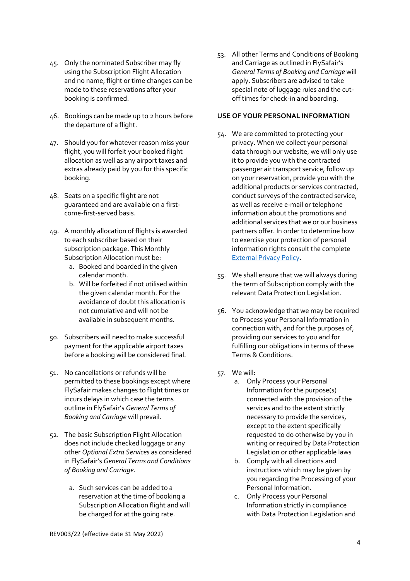- 45. Only the nominated Subscriber may fly using the Subscription Flight Allocation and no name, flight or time changes can be made to these reservations after your booking is confirmed.
- 46. Bookings can be made up to 2 hours before the departure of a flight.
- 47. Should you for whatever reason miss your flight, you will forfeit your booked flight allocation as well as any airport taxes and extras already paid by you for this specific booking.
- 48. Seats on a specific flight are not guaranteed and are available on a firstcome-first-served basis.
- 49. A monthly allocation of flights is awarded to each subscriber based on their subscription package. This Monthly Subscription Allocation must be:
	- a. Booked and boarded in the given calendar month.
	- b. Will be forfeited if not utilised within the given calendar month. For the avoidance of doubt this allocation is not cumulative and will not be available in subsequent months.
- 50. Subscribers will need to make successful payment for the applicable airport taxes before a booking will be considered final.
- 51. No cancellations or refunds will be permitted to these bookings except where FlySafair makes changes to flight times or incurs delays in which case the terms outline in FlySafair's *General Terms of Booking and Carriage* will prevail.
- 52. The basic Subscription Flight Allocation does not include checked luggage or any other *Optional Extra Services* as considered in FlySafair's *General Terms and Conditions of Booking and Carriage*.
	- a. Such services can be added to a reservation at the time of booking a Subscription Allocation flight and will be charged for at the going rate.

53. All other Terms and Conditions of Booking and Carriage as outlined in FlySafair's *General Terms of Booking and Carriage* will apply. Subscribers are advised to take special note of luggage rules and the cutoff times for check-in and boarding.

## **USE OF YOUR PERSONAL INFORMATION**

- 54. We are committed to protecting your privacy. When we collect your personal data through our website, we will only use it to provide you with the contracted passenger air transport service, follow up on your reservation, provide you with the additional products or services contracted, conduct surveys of the contracted service, as well as receive e-mail or telephone information about the promotions and additional services that we or our business partners offer. In order to determine how to exercise your protection of personal information rights consult the complete [External Privacy Policy.](https://www.flysafair.co.za/about-us/legal-ts-cs/external-privacy-policy)
- 55. We shall ensure that we will always during the term of Subscription comply with the relevant Data Protection Legislation.
- 56. You acknowledge that we may be required to Process your Personal Information in connection with, and for the purposes of, providing our services to you and for fulfilling our obligations in terms of these Terms & Conditions.
- 57. We will:
	- a. Only Process your Personal Information for the purpose(s) connected with the provision of the services and to the extent strictly necessary to provide the services, except to the extent specifically requested to do otherwise by you in writing or required by Data Protection Legislation or other applicable laws
	- b. Comply with all directions and instructions which may be given by you regarding the Processing of your Personal Information.
	- c. Only Process your Personal Information strictly in compliance with Data Protection Legislation and